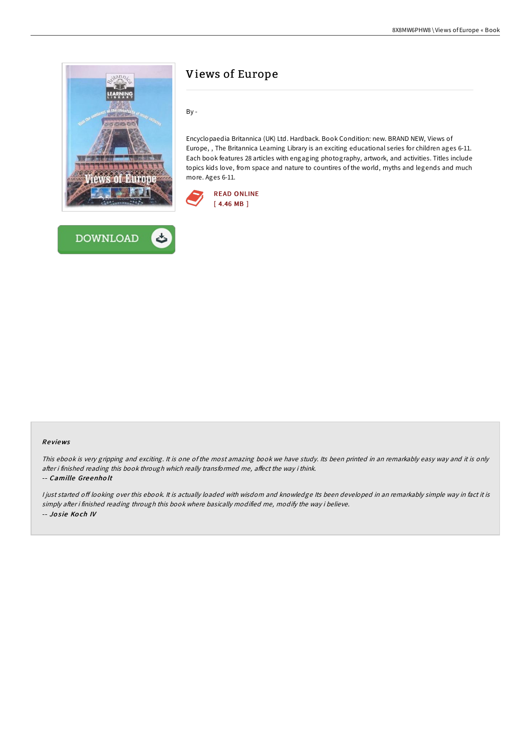



# Views of Europe

By -

Encyclopaedia Britannica (UK) Ltd. Hardback. Book Condition: new. BRAND NEW, Views of Europe, , The Britannica Learning Library is an exciting educational series for children ages 6-11. Each book features 28 articles with engaging photography, artwork, and activities. Titles include topics kids love, from space and nature to countires of the world, myths and legends and much more. Ages 6-11.



## Re views

This ebook is very gripping and exciting. It is one of the most amazing book we have study. Its been printed in an remarkably easy way and it is only after i finished reading this book through which really transformed me, affect the way i think.

#### -- Camille Gre enho lt

I just started off looking over this ebook. It is actually loaded with wisdom and knowledge Its been developed in an remarkably simple way in fact it is simply after i finished reading through this book where basically modified me, modify the way i believe. -- Josie Koch IV